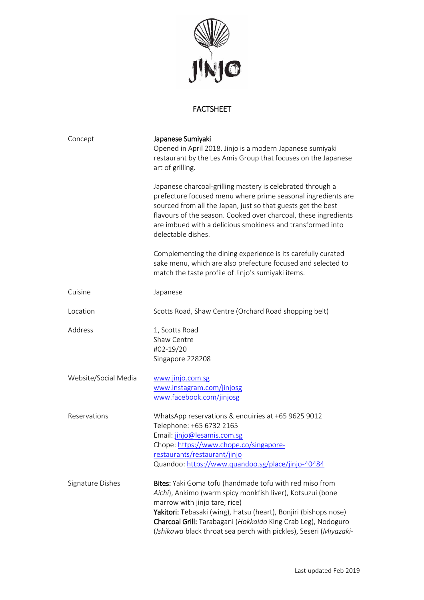

## FACTSHEET

| Concept              | Japanese Sumiyaki<br>Opened in April 2018, Jinjo is a modern Japanese sumiyaki<br>restaurant by the Les Amis Group that focuses on the Japanese<br>art of grilling.                                                                                                                                                                                              |
|----------------------|------------------------------------------------------------------------------------------------------------------------------------------------------------------------------------------------------------------------------------------------------------------------------------------------------------------------------------------------------------------|
|                      | Japanese charcoal-grilling mastery is celebrated through a<br>prefecture focused menu where prime seasonal ingredients are<br>sourced from all the Japan, just so that guests get the best<br>flavours of the season. Cooked over charcoal, these ingredients<br>are imbued with a delicious smokiness and transformed into<br>delectable dishes.                |
|                      | Complementing the dining experience is its carefully curated<br>sake menu, which are also prefecture focused and selected to<br>match the taste profile of Jinjo's sumiyaki items.                                                                                                                                                                               |
| Cuisine              | Japanese                                                                                                                                                                                                                                                                                                                                                         |
| Location             | Scotts Road, Shaw Centre (Orchard Road shopping belt)                                                                                                                                                                                                                                                                                                            |
| Address              | 1, Scotts Road<br>Shaw Centre<br>#02-19/20<br>Singapore 228208                                                                                                                                                                                                                                                                                                   |
| Website/Social Media | www.jinjo.com.sg<br>www.instagram.com/jinjosg<br>www.facebook.com/jinjosg                                                                                                                                                                                                                                                                                        |
| Reservations         | WhatsApp reservations & enquiries at +65 9625 9012<br>Telephone: +65 6732 2165<br>Email: jinjo@lesamis.com.sg<br>Chope: https://www.chope.co/singapore-<br>restaurants/restaurant/jinjo<br>Quandoo: https://www.quandoo.sg/place/jinjo-40484                                                                                                                     |
| Signature Dishes     | Bites: Yaki Goma tofu (handmade tofu with red miso from<br>Aichi), Ankimo (warm spicy monkfish liver), Kotsuzui (bone<br>marrow with jinjo tare, rice)<br>Yakitori: Tebasaki (wing), Hatsu (heart), Bonjiri (bishops nose)<br>Charcoal Grill: Tarabagani (Hokkaido King Crab Leg), Nodoguro<br>(Ishikawa black throat sea perch with pickles), Seseri (Miyazaki- |